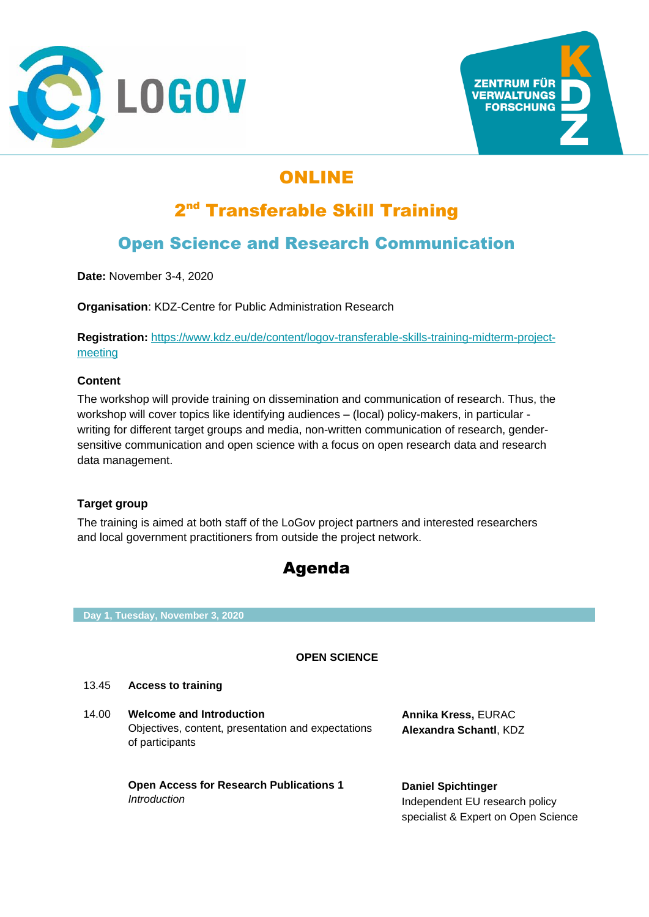



# ONLINE

# 2<sup>nd</sup> Transferable Skill Training

## Open Science and Research Communication

**Date:** November 3-4, 2020

**Organisation**: KDZ-Centre for Public Administration Research

**Registration:** [https://www.kdz.eu/de/content/logov-transferable-skills-training-midterm-project](https://www.kdz.eu/de/content/logov-transferable-skills-training-midterm-project-meeting)[meeting](https://www.kdz.eu/de/content/logov-transferable-skills-training-midterm-project-meeting)

### **Content**

The workshop will provide training on dissemination and communication of research. Thus, the workshop will cover topics like identifying audiences – (local) policy-makers, in particular writing for different target groups and media, non-written communication of research, gendersensitive communication and open science with a focus on open research data and research data management.

### **Target group**

The training is aimed at both staff of the LoGov project partners and interested researchers and local government practitioners from outside the project network.



**Day 1, Tuesday, November 3, 2020**

### **OPEN SCIENCE**

#### 13.45 **Access to training**

14.00 **Welcome and Introduction** Objectives, content, presentation and expectations of participants

> **Open Access for Research Publications 1** *Introduction*

**Annika Kress,** EURAC **Alexandra Schantl**, KDZ

**Daniel Spichtinger** Independent EU research policy specialist & Expert on Open Science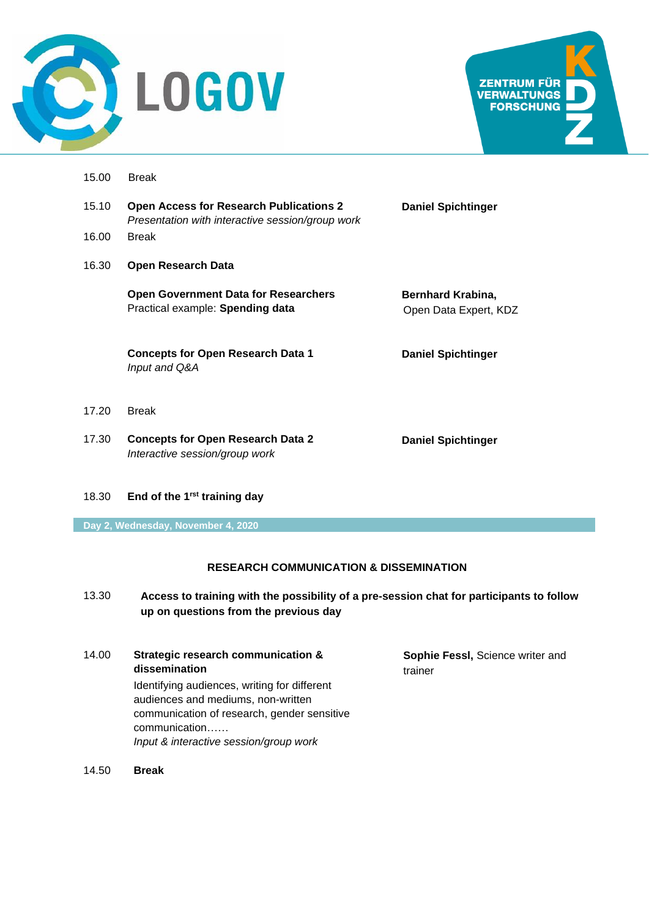



- 15.00 Break
- 15.10 **Open Access for Research Publications 2** *Presentation with interactive session/group work*
- 16.00 Break
- 16.30 **Open Research Data**

*Input and Q&A*

**Open Government Data for Researchers** Practical example: **Spending data**

**Concepts for Open Research Data 1**

**Daniel Spichtinger**

**Bernhard Krabina,** Open Data Expert, KDZ

**Daniel Spichtinger**

- 17.20 Break
- 17.30 **Concepts for Open Research Data 2** *Interactive session/group work*

**Daniel Spichtinger**

18.30 **End of the 1rst training day**

**Day 2, Wednesday, November 4, 2020**

### **RESEARCH COMMUNICATION & DISSEMINATION**

- 13.30 **Access to training with the possibility of a pre-session chat for participants to follow up on questions from the previous day**
- 14.00 **Strategic research communication & dissemination**  Identifying audiences, writing for different audiences and mediums, non-written communication of research, gender sensitive communication…… *Input & interactive session/group work*

**Sophie Fessl,** Science writer and trainer

14.50 **Break**